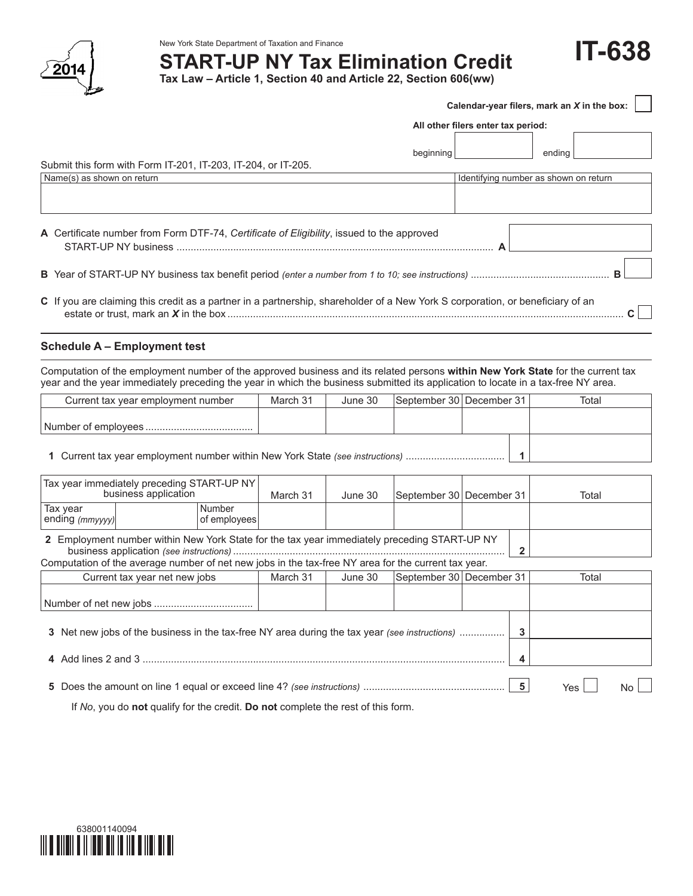

# New York State Department of Taxation and Finance<br>**START-UP NY Tax Elimination Credit** Formation **IT-638**

**Tax Law – Article 1, Section 40 and Article 22, Section 606(ww)**

|                                                                                                                                                                                                                                                                      |                                    |                        |          |         |                          |                         | Calendar-year filers, mark an X in the box: |
|----------------------------------------------------------------------------------------------------------------------------------------------------------------------------------------------------------------------------------------------------------------------|------------------------------------|------------------------|----------|---------|--------------------------|-------------------------|---------------------------------------------|
|                                                                                                                                                                                                                                                                      | All other filers enter tax period: |                        |          |         |                          |                         |                                             |
|                                                                                                                                                                                                                                                                      |                                    |                        |          |         |                          |                         |                                             |
| Submit this form with Form IT-201, IT-203, IT-204, or IT-205.                                                                                                                                                                                                        |                                    |                        |          |         | beginning                |                         | ending                                      |
| Name(s) as shown on return                                                                                                                                                                                                                                           |                                    |                        |          |         |                          |                         | Identifying number as shown on return       |
|                                                                                                                                                                                                                                                                      |                                    |                        |          |         |                          |                         |                                             |
| A Certificate number from Form DTF-74, Certificate of Eligibility, issued to the approved                                                                                                                                                                            |                                    |                        |          |         |                          |                         |                                             |
|                                                                                                                                                                                                                                                                      |                                    |                        |          |         |                          |                         |                                             |
| C If you are claiming this credit as a partner in a partnership, shareholder of a New York S corporation, or beneficiary of an                                                                                                                                       |                                    |                        |          |         |                          |                         | C                                           |
| <b>Schedule A - Employment test</b>                                                                                                                                                                                                                                  |                                    |                        |          |         |                          |                         |                                             |
| Computation of the employment number of the approved business and its related persons within New York State for the current tax<br>year and the year immediately preceding the year in which the business submitted its application to locate in a tax-free NY area. |                                    |                        |          |         |                          |                         |                                             |
| Current tax year employment number                                                                                                                                                                                                                                   |                                    |                        | March 31 | June 30 | September 30 December 31 |                         | Total                                       |
|                                                                                                                                                                                                                                                                      |                                    |                        |          |         |                          |                         |                                             |
| 1 Current tax year employment number within New York State (see instructions)                                                                                                                                                                                        |                                    |                        |          |         |                          | $\mathbf{1}$            |                                             |
| Tax year immediately preceding START-UP NY<br>business application                                                                                                                                                                                                   |                                    |                        | March 31 | June 30 | September 30 December 31 |                         | Total                                       |
| Tax year<br>ending (mmyyyy)                                                                                                                                                                                                                                          |                                    | Number<br>of employees |          |         |                          |                         |                                             |
| 2 Employment number within New York State for the tax year immediately preceding START-UP NY<br>Computation of the average number of net new jobs in the tax-free NY area for the current tax year.                                                                  |                                    |                        |          |         |                          | $\mathbf{2}$            |                                             |
| Current tax year net new jobs                                                                                                                                                                                                                                        |                                    |                        | March 31 | June 30 | September 30 December 31 |                         | Total                                       |
|                                                                                                                                                                                                                                                                      |                                    |                        |          |         |                          |                         |                                             |
| 3 Net new jobs of the business in the tax-free NY area during the tax year (see instructions)                                                                                                                                                                        |                                    |                        |          |         |                          | 3                       |                                             |
|                                                                                                                                                                                                                                                                      |                                    |                        |          |         |                          | 4                       |                                             |
|                                                                                                                                                                                                                                                                      |                                    |                        |          |         |                          | $\overline{\mathbf{5}}$ | Yes<br>No                                   |

If *No*, you do **not** qualify for the credit. **Do not** complete the rest of this form.

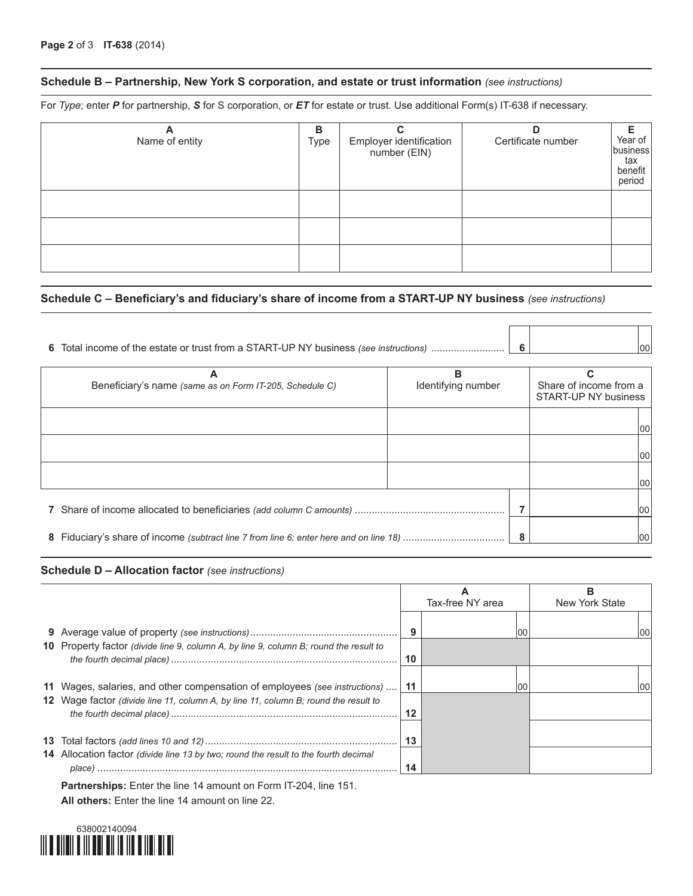### **Schedule B – Partnership, New York S corporation, and estate or trust information** *(see instructions)*

For *Type*; enter *P* for partnership, *S* for S corporation, or *ET* for estate or trust. Use additional Form(s) IT-638 if necessary.

| A<br>Name of entity | в<br>Type | Employer identification<br>number (EIN) | D<br>Certificate number | Year of<br>business<br>tax<br>benefit<br>period |
|---------------------|-----------|-----------------------------------------|-------------------------|-------------------------------------------------|
|                     |           |                                         |                         |                                                 |
|                     |           |                                         |                         |                                                 |
|                     |           |                                         |                         |                                                 |

#### **Schedule C – Beneficiary's and fiduciary's share of income from a START-UP NY business** *(see instructions)*

| Α<br>Beneficiary's name (same as on Form IT-205, Schedule C) | в<br>Identifying number | Share of income from a<br>START-UP NY business |
|--------------------------------------------------------------|-------------------------|------------------------------------------------|
|                                                              |                         | 100                                            |
|                                                              |                         | 00                                             |
|                                                              |                         | 00                                             |
|                                                              |                         | 00                                             |
|                                                              |                         | 100                                            |

**The Company** 

 $\overline{\phantom{0}}$ 

#### **Schedule D – Allocation factor** *(see instructions)*

|                                                                                       |    | Tax-free NY area | в<br>New York State |
|---------------------------------------------------------------------------------------|----|------------------|---------------------|
|                                                                                       | 9  | 00               |                     |
| 10 Property factor (divide line 9, column A, by line 9, column B; round the result to | 10 |                  |                     |
| 11 Wages, salaries, and other compensation of employees (see instructions)            | 11 | l00              | 00                  |
| 12 Wage factor (divide line 11, column A, by line 11, column B; round the result to   | 12 |                  |                     |
|                                                                                       | 13 |                  |                     |
| 14 Allocation factor (divide line 13 by two; round the result to the fourth decimal   | 14 |                  |                     |

**Partnerships:** Enter the line 14 amount on Form IT-204, line 151. **All others:** Enter the line 14 amount on line 22.